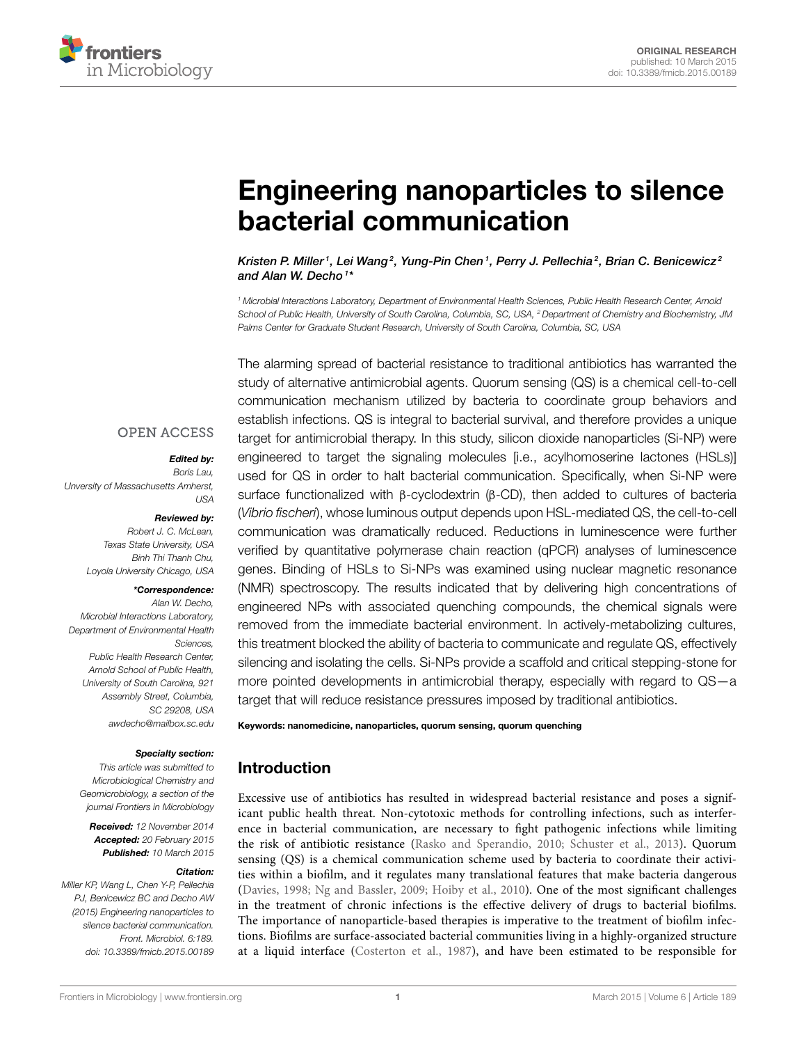

# [Engineering nanoparticles to silence](http://www.frontiersin.org/journal/10.3389/fmicb.2015.00189/abstract) bacterial communication

[Kristen P. Miller](http://community.frontiersin.org/people/u/191405) <sup>1</sup>, [Lei Wang](http://community.frontiersin.org/people/u/217200) <sup>2</sup>, Yung-Pin Chen <sup>1</sup>, Perry J. Pellechia <sup>2</sup>, Brian C. Benicewicz 2 and [Alan W. Decho](http://community.frontiersin.org/people/u/65151)<sup>1\*</sup>

*<sup>1</sup> Microbial Interactions Laboratory, Department of Environmental Health Sciences, Public Health Research Center, Arnold School of Public Health, University of South Carolina, Columbia, SC, USA, <sup>2</sup> Department of Chemistry and Biochemistry, JM Palms Center for Graduate Student Research, University of South Carolina, Columbia, SC, USA*

The alarming spread of bacterial resistance to traditional antibiotics has warranted the study of alternative antimicrobial agents. Quorum sensing (QS) is a chemical cell-to-cell communication mechanism utilized by bacteria to coordinate group behaviors and establish infections. QS is integral to bacterial survival, and therefore provides a unique target for antimicrobial therapy. In this study, silicon dioxide nanoparticles (Si-NP) were engineered to target the signaling molecules [i.e., acylhomoserine lactones (HSLs)] used for QS in order to halt bacterial communication. Specifically, when Si-NP were surface functionalized with β-cyclodextrin (β-CD), then added to cultures of bacteria (*Vibrio fischeri*), whose luminous output depends upon HSL-mediated QS, the cell-to-cell communication was dramatically reduced. Reductions in luminescence were further verified by quantitative polymerase chain reaction (qPCR) analyses of luminescence genes. Binding of HSLs to Si-NPs was examined using nuclear magnetic resonance (NMR) spectroscopy. The results indicated that by delivering high concentrations of engineered NPs with associated quenching compounds, the chemical signals were removed from the immediate bacterial environment. In actively-metabolizing cultures, this treatment blocked the ability of bacteria to communicate and regulate QS, effectively silencing and isolating the cells. Si-NPs provide a scaffold and critical stepping-stone for more pointed developments in antimicrobial therapy, especially with regard to QS—a target that will reduce resistance pressures imposed by traditional antibiotics.

#### Keywords: nanomedicine, nanoparticles, quorum sensing, quorum quenching

# Introduction

Excessive use of antibiotics has resulted in widespread bacterial resistance and poses a significant public health threat. Non-cytotoxic methods for controlling infections, such as interference in bacterial communication, are necessary to fight pathogenic infections while limiting the risk of antibiotic resistance [\(Rasko and Sperandio, 2010;](#page-6-0) [Schuster et al., 2013\)](#page-6-1). Quorum sensing (QS) is a chemical communication scheme used by bacteria to coordinate their activities within a biofilm, and it regulates many translational features that make bacteria dangerous [\(Davies, 1998;](#page-6-2) [Ng and Bassler, 2009;](#page-6-3) [Hoiby et al., 2010\)](#page-6-4). One of the most significant challenges in the treatment of chronic infections is the effective delivery of drugs to bacterial biofilms. The importance of nanoparticle-based therapies is imperative to the treatment of biofilm infections. Biofilms are surface-associated bacterial communities living in a highly-organized structure at a liquid interface [\(Costerton et al., 1987\)](#page-5-0), and have been estimated to be responsible for

#### **OPEN ACCESS**

#### Edited by:

*Boris Lau, Unversity of Massachusetts Amherst, USA*

#### Reviewed by:

*Robert J. C. McLean, Texas State University, USA Binh Thi Thanh Chu, Loyola University Chicago, USA*

#### \*Correspondence:

*Alan W. Decho, Microbial Interactions Laboratory, Department of Environmental Health Sciences, Public Health Research Center, Arnold School of Public Health, University of South Carolina, 921 Assembly Street, Columbia, SC 29208, USA [awdecho@mailbox.sc.edu](mailto:awdecho@mailbox.sc.edu)*

#### Specialty section:

*This article was submitted to Microbiological Chemistry and Geomicrobiology, a section of the journal Frontiers in Microbiology*

Received: *12 November 2014* Accepted: *20 February 2015* Published: *10 March 2015*

#### Citation:

*Miller KP, Wang L, Chen Y-P, Pellechia PJ, Benicewicz BC and Decho AW (2015) Engineering nanoparticles to silence bacterial communication. Front. Microbiol. 6:189. doi: [10.3389/fmicb.2015.00189](http://dx.doi.org/10.3389/fmicb.2015.00189)*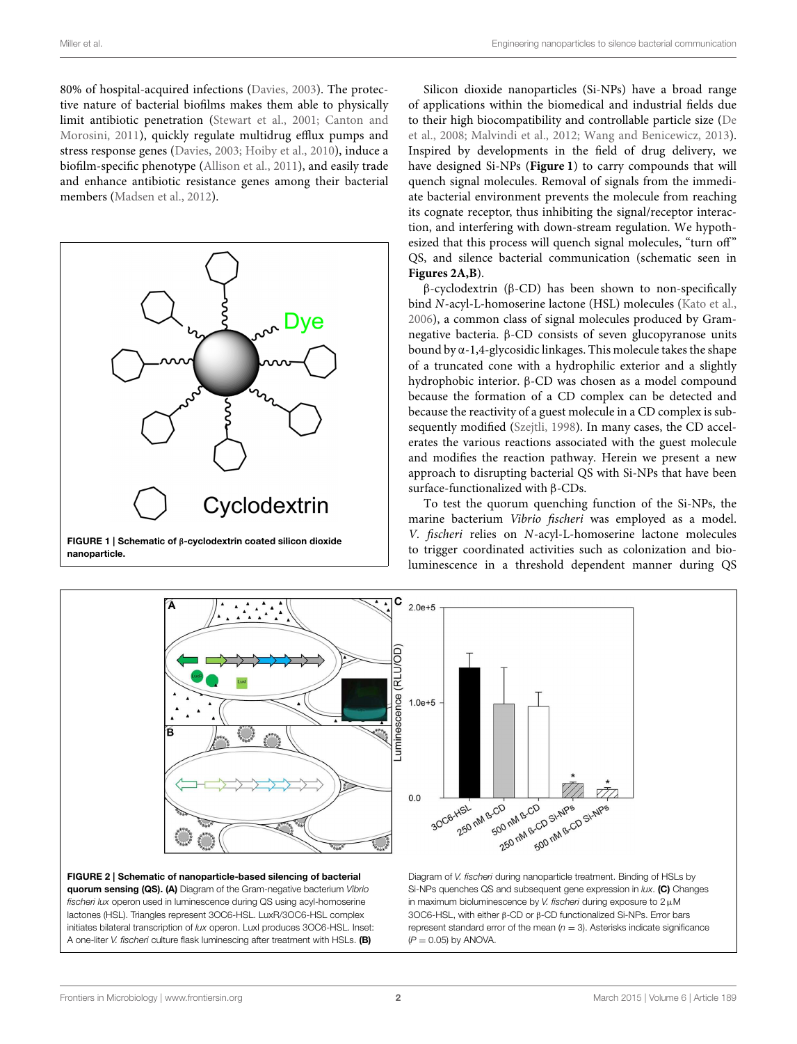80% of hospital-acquired infections [\(Davies, 2003\)](#page-6-5). The protective nature of bacterial biofilms makes them able to physically limit antibiotic penetration [\(Stewart et al., 2001;](#page-6-6) Canton and Morosini, [2011\)](#page-5-1), quickly regulate multidrug efflux pumps and stress response genes [\(Davies, 2003;](#page-6-5) [Hoiby et al., 2010\)](#page-6-4), induce a biofilm-specific phenotype [\(Allison et al., 2011\)](#page-5-2), and easily trade and enhance antibiotic resistance genes among their bacterial members [\(Madsen et al., 2012\)](#page-6-7).



<span id="page-1-0"></span>nanoparticle.

Silicon dioxide nanoparticles (Si-NPs) have a broad range of applications within the biomedical and industrial fields due to their high biocompatibility and controllable particle size (De et al., [2008;](#page-6-8) [Malvindi et al., 2012;](#page-6-9) [Wang and Benicewicz, 2013\)](#page-6-10). Inspired by developments in the field of drug delivery, we have designed Si-NPs (**[Figure 1](#page-1-0)**) to carry compounds that will quench signal molecules. Removal of signals from the immediate bacterial environment prevents the molecule from reaching its cognate receptor, thus inhibiting the signal/receptor interaction, and interfering with down-stream regulation. We hypothesized that this process will quench signal molecules, "turn off" QS, and silence bacterial communication (schematic seen in **[Figures 2A,B](#page-1-1)**).

β-cyclodextrin (β-CD) has been shown to non-specifically bind N-acyl-L-homoserine lactone (HSL) molecules [\(Kato et al.,](#page-6-11) [2006\)](#page-6-11), a common class of signal molecules produced by Gramnegative bacteria. β-CD consists of seven glucopyranose units bound by  $\alpha$ -1,4-glycosidic linkages. This molecule takes the shape of a truncated cone with a hydrophilic exterior and a slightly hydrophobic interior. β-CD was chosen as a model compound because the formation of a CD complex can be detected and because the reactivity of a guest molecule in a CD complex is subsequently modified [\(Szejtli, 1998\)](#page-6-12). In many cases, the CD accelerates the various reactions associated with the guest molecule and modifies the reaction pathway. Herein we present a new approach to disrupting bacterial QS with Si-NPs that have been surface-functionalized with β-CDs.

To test the quorum quenching function of the Si-NPs, the marine bacterium Vibrio fischeri was employed as a model. V. fischeri relies on N-acyl-L-homoserine lactone molecules to trigger coordinated activities such as colonization and bioluminescence in a threshold dependent manner during QS



<span id="page-1-1"></span>FIGURE 2 | Schematic of nanoparticle-based silencing of bacterial quorum sensing (QS). (A) Diagram of the Gram-negative bacterium *Vibrio fischeri lux* operon used in luminescence during QS using acyl-homoserine lactones (HSL). Triangles represent 3OC6-HSL. LuxR/3OC6-HSL complex initiates bilateral transcription of *lux* operon. LuxI produces 3OC6-HSL. Inset: A one-liter *V. fischeri* culture flask luminescing after treatment with HSLs. (B)

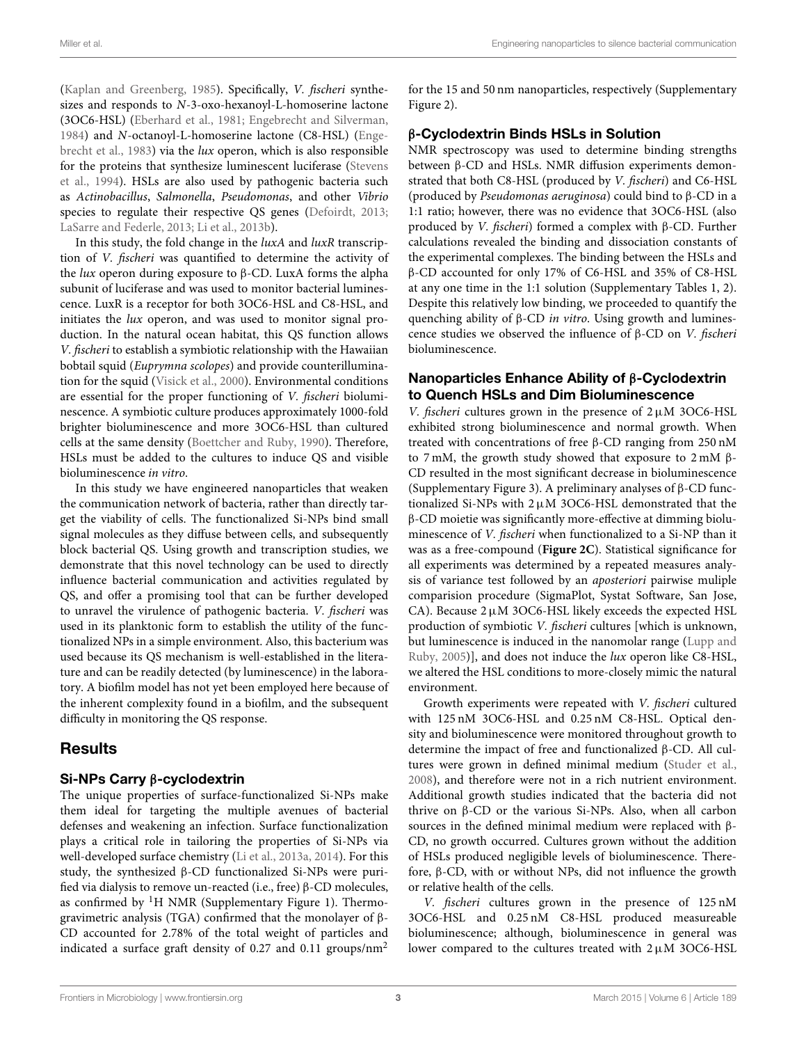[\(Kaplan and Greenberg, 1985\)](#page-6-13). Specifically, V. fischeri synthesizes and responds to N-3-oxo-hexanoyl-L-homoserine lactone (3OC6-HSL) [\(Eberhard et al., 1981;](#page-6-14) [Engebrecht and Silverman,](#page-6-15) [1984\)](#page-6-15) and N-octanoyl-L-homoserine lactone (C8-HSL) (Engebrecht et al., [1983\)](#page-6-16) via the lux operon, which is also responsible for the proteins that synthesize luminescent luciferase (Stevens et al., [1994\)](#page-6-17). HSLs are also used by pathogenic bacteria such as Actinobacillus, Salmonella, Pseudomonas, and other Vibrio species to regulate their respective QS genes [\(Defoirdt, 2013;](#page-6-18) [LaSarre and Federle, 2013;](#page-6-19) [Li et al., 2013b\)](#page-6-20).

In this study, the fold change in the *luxA* and *luxR* transcription of V. fischeri was quantified to determine the activity of the *lux* operon during exposure to β-CD. LuxA forms the alpha subunit of luciferase and was used to monitor bacterial luminescence. LuxR is a receptor for both 3OC6-HSL and C8-HSL, and initiates the lux operon, and was used to monitor signal production. In the natural ocean habitat, this QS function allows V. fischeri to establish a symbiotic relationship with the Hawaiian bobtail squid (Euprymna scolopes) and provide counterillumination for the squid [\(Visick et al., 2000\)](#page-6-21). Environmental conditions are essential for the proper functioning of V. fischeri bioluminescence. A symbiotic culture produces approximately 1000-fold brighter bioluminescence and more 3OC6-HSL than cultured cells at the same density [\(Boettcher and Ruby, 1990\)](#page-5-3). Therefore, HSLs must be added to the cultures to induce QS and visible bioluminescence in vitro.

In this study we have engineered nanoparticles that weaken the communication network of bacteria, rather than directly target the viability of cells. The functionalized Si-NPs bind small signal molecules as they diffuse between cells, and subsequently block bacterial QS. Using growth and transcription studies, we demonstrate that this novel technology can be used to directly influence bacterial communication and activities regulated by QS, and offer a promising tool that can be further developed to unravel the virulence of pathogenic bacteria. V. fischeri was used in its planktonic form to establish the utility of the functionalized NPs in a simple environment. Also, this bacterium was used because its QS mechanism is well-established in the literature and can be readily detected (by luminescence) in the laboratory. A biofilm model has not yet been employed here because of the inherent complexity found in a biofilm, and the subsequent difficulty in monitoring the QS response.

# Results

#### Si-NPs Carry β-cyclodextrin

The unique properties of surface-functionalized Si-NPs make them ideal for targeting the multiple avenues of bacterial defenses and weakening an infection. Surface functionalization plays a critical role in tailoring the properties of Si-NPs via well-developed surface chemistry [\(Li et al., 2013a,](#page-6-22) [2014\)](#page-6-23). For this study, the synthesized β-CD functionalized Si-NPs were purified via dialysis to remove un-reacted (i.e., free) β-CD molecules, as confirmed by  ${}^{1}$ H NMR (Supplementary Figure 1). Thermogravimetric analysis (TGA) confirmed that the monolayer of β-CD accounted for 2.78% of the total weight of particles and indicated a surface graft density of 0.27 and 0.11 groups/nm<sup>2</sup>

for the 15 and 50 nm nanoparticles, respectively (Supplementary Figure 2).

## β-Cyclodextrin Binds HSLs in Solution

NMR spectroscopy was used to determine binding strengths between β-CD and HSLs. NMR diffusion experiments demonstrated that both C8-HSL (produced by V. fischeri) and C6-HSL (produced by Pseudomonas aeruginosa) could bind to β-CD in a 1:1 ratio; however, there was no evidence that 3OC6-HSL (also produced by V. fischeri) formed a complex with β-CD. Further calculations revealed the binding and dissociation constants of the experimental complexes. The binding between the HSLs and β-CD accounted for only 17% of C6-HSL and 35% of C8-HSL at any one time in the 1:1 solution (Supplementary Tables 1, 2). Despite this relatively low binding, we proceeded to quantify the quenching ability of β-CD in vitro. Using growth and luminescence studies we observed the influence of β-CD on V. fischeri bioluminescence.

#### Nanoparticles Enhance Ability of β-Cyclodextrin to Quench HSLs and Dim Bioluminescence

V. fischeri cultures grown in the presence of  $2 \mu M$  3OC6-HSL exhibited strong bioluminescence and normal growth. When treated with concentrations of free β-CD ranging from 250 nM to 7 mM, the growth study showed that exposure to 2 mM β-CD resulted in the most significant decrease in bioluminescence (Supplementary Figure 3). A preliminary analyses of β-CD functionalized Si-NPs with  $2 \mu M$  3OC6-HSL demonstrated that the β-CD moietie was significantly more-effective at dimming bioluminescence of V. fischeri when functionalized to a Si-NP than it was as a free-compound (**[Figure 2C](#page-1-1)**). Statistical significance for all experiments was determined by a repeated measures analysis of variance test followed by an aposteriori pairwise muliple comparision procedure (SigmaPlot, Systat Software, San Jose, CA). Because  $2 \mu$ M 3OC6-HSL likely exceeds the expected HSL production of symbiotic V. fischeri cultures [which is unknown, but luminescence is induced in the nanomolar range (Lupp and Ruby, [2005\)](#page-6-24)], and does not induce the lux operon like C8-HSL, we altered the HSL conditions to more-closely mimic the natural environment.

Growth experiments were repeated with V. fischeri cultured with 125 nM 3OC6-HSL and 0.25 nM C8-HSL. Optical density and bioluminescence were monitored throughout growth to determine the impact of free and functionalized β-CD. All cultures were grown in defined minimal medium [\(Studer et al.,](#page-6-25) [2008\)](#page-6-25), and therefore were not in a rich nutrient environment. Additional growth studies indicated that the bacteria did not thrive on β-CD or the various Si-NPs. Also, when all carbon sources in the defined minimal medium were replaced with β-CD, no growth occurred. Cultures grown without the addition of HSLs produced negligible levels of bioluminescence. Therefore, β-CD, with or without NPs, did not influence the growth or relative health of the cells.

V. fischeri cultures grown in the presence of 125 nM 3OC6-HSL and 0.25 nM C8-HSL produced measureable bioluminescence; although, bioluminescence in general was lower compared to the cultures treated with  $2 \mu M$  3OC6-HSL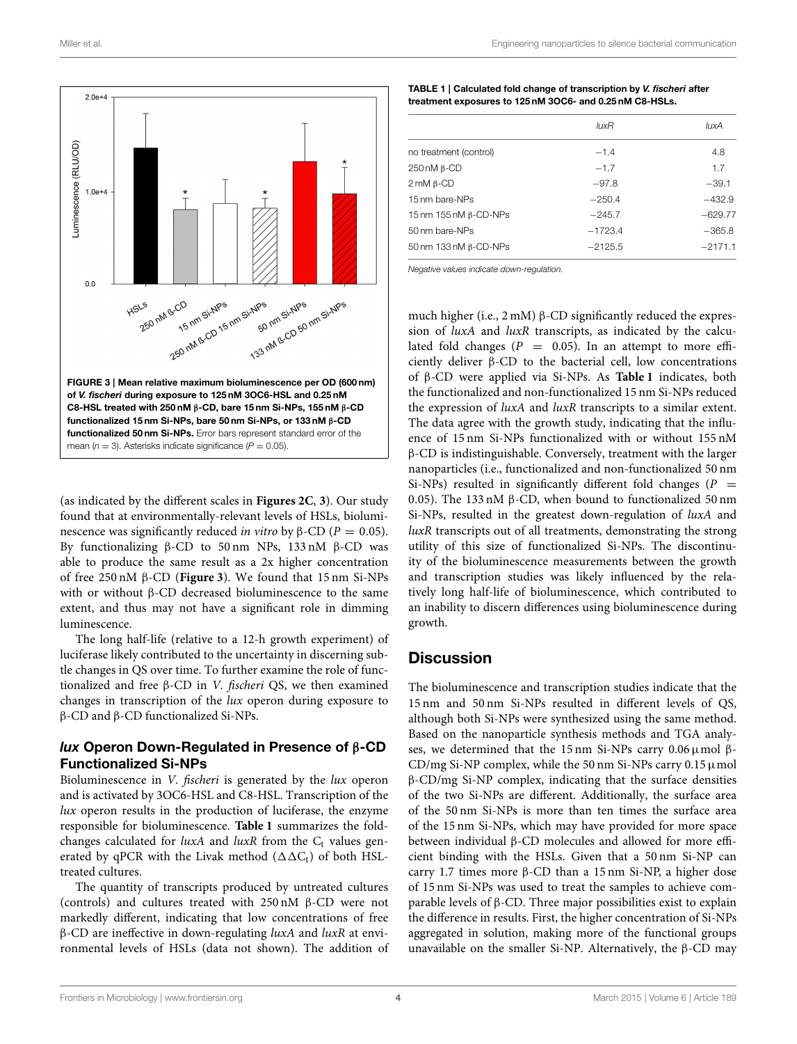

<span id="page-3-0"></span>(as indicated by the different scales in **[Figures 2C](#page-1-1)**, **[3](#page-3-0)**). Our study found that at environmentally-relevant levels of HSLs, bioluminescence was significantly reduced *in vitro* by β-CD ( $P = 0.05$ ). By functionalizing β-CD to 50 nm NPs, 133 nM β-CD was able to produce the same result as a 2x higher concentration of free 250 nM β-CD (**[Figure 3](#page-3-0)**). We found that 15 nm Si-NPs with or without β-CD decreased bioluminescence to the same extent, and thus may not have a significant role in dimming luminescence.

The long half-life (relative to a 12-h growth experiment) of luciferase likely contributed to the uncertainty in discerning subtle changes in QS over time. To further examine the role of functionalized and free β-CD in V. fischeri QS, we then examined changes in transcription of the lux operon during exposure to β-CD and β-CD functionalized Si-NPs.

#### lux Operon Down-Regulated in Presence of β-CD Functionalized Si-NPs

Bioluminescence in *V. fischeri* is generated by the *lux* operon and is activated by 3OC6-HSL and C8-HSL. Transcription of the lux operon results in the production of luciferase, the enzyme responsible for bioluminescence. **[Table 1](#page-3-1)** summarizes the foldchanges calculated for  $luxA$  and  $luxR$  from the  $C_t$  values generated by qPCR with the Livak method  $(\Delta \Delta C_t)$  of both HSLtreated cultures.

The quantity of transcripts produced by untreated cultures (controls) and cultures treated with 250 nM β-CD were not markedly different, indicating that low concentrations of free β-CD are ineffective in down-regulating luxA and luxR at environmental levels of HSLs (data not shown). The addition of

<span id="page-3-1"></span>

| TABLE 1   Calculated fold change of transcription by V. fischeri after |
|------------------------------------------------------------------------|
| treatment exposures to 125 nM 3OC6- and 0.25 nM C8-HSLs.               |

|                              | luxR      | luxA      |
|------------------------------|-----------|-----------|
| no treatment (control)       | $-1.4$    | 4.8       |
| $250 \text{ nM}$ $\beta$ -CD | $-1.7$    | 1.7       |
| $2 \text{ mM } \beta$ -CD    | $-97.8$   | $-39.1$   |
| 15 nm bare-NPs               | $-250.4$  | $-432.9$  |
| 15 nm 155 nM β-CD-NPs        | $-245.7$  | $-629.77$ |
| 50 nm bare-NPs               | $-1723.4$ | $-365.8$  |
| 50 nm 133 nM β-CD-NPs        | $-2125.5$ | $-2171.1$ |

*Negative values indicate down-regulation.*

much higher (i.e., 2 mM) β-CD significantly reduced the expression of luxA and luxR transcripts, as indicated by the calculated fold changes ( $P = 0.05$ ). In an attempt to more efficiently deliver β-CD to the bacterial cell, low concentrations of β-CD were applied via Si-NPs. As **[Table 1](#page-3-1)** indicates, both the functionalized and non-functionalized 15 nm Si-NPs reduced the expression of luxA and luxR transcripts to a similar extent. The data agree with the growth study, indicating that the influence of 15 nm Si-NPs functionalized with or without 155 nM β-CD is indistinguishable. Conversely, treatment with the larger nanoparticles (i.e., functionalized and non-functionalized 50 nm Si-NPs) resulted in significantly different fold changes ( $P =$ 0.05). The 133 nM β-CD, when bound to functionalized 50 nm Si-NPs, resulted in the greatest down-regulation of luxA and luxR transcripts out of all treatments, demonstrating the strong utility of this size of functionalized Si-NPs. The discontinuity of the bioluminescence measurements between the growth and transcription studies was likely influenced by the relatively long half-life of bioluminescence, which contributed to an inability to discern differences using bioluminescence during growth.

#### **Discussion**

The bioluminescence and transcription studies indicate that the 15 nm and 50 nm Si-NPs resulted in different levels of QS, although both Si-NPs were synthesized using the same method. Based on the nanoparticle synthesis methods and TGA analyses, we determined that the 15 nm Si-NPs carry 0.06µmol β-CD/mg Si-NP complex, while the 50 nm Si-NPs carry  $0.15 \mu$ mol β-CD/mg Si-NP complex, indicating that the surface densities of the two Si-NPs are different. Additionally, the surface area of the 50 nm Si-NPs is more than ten times the surface area of the 15 nm Si-NPs, which may have provided for more space between individual β-CD molecules and allowed for more efficient binding with the HSLs. Given that a 50 nm Si-NP can carry 1.7 times more β-CD than a 15 nm Si-NP, a higher dose of 15 nm Si-NPs was used to treat the samples to achieve comparable levels of β-CD. Three major possibilities exist to explain the difference in results. First, the higher concentration of Si-NPs aggregated in solution, making more of the functional groups unavailable on the smaller Si-NP. Alternatively, the β-CD may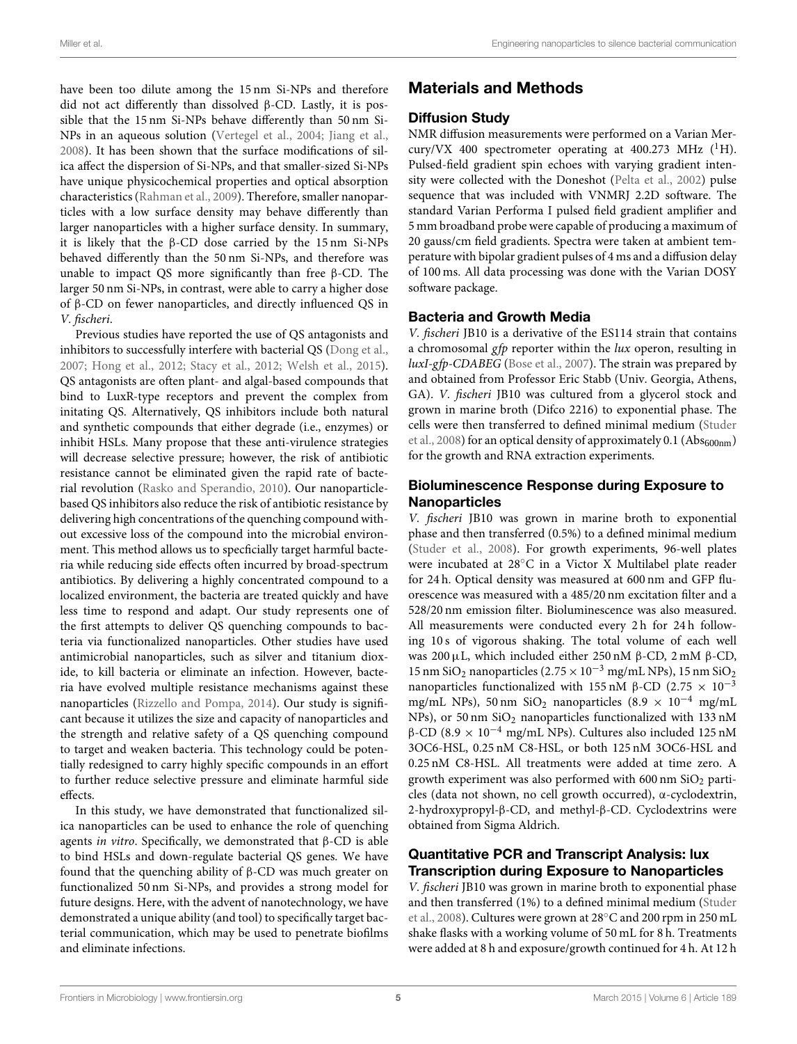have been too dilute among the 15 nm Si-NPs and therefore did not act differently than dissolved β-CD. Lastly, it is possible that the 15 nm Si-NPs behave differently than 50 nm Si-NPs in an aqueous solution [\(Vertegel et al., 2004;](#page-6-26) [Jiang et al.,](#page-6-27) [2008\)](#page-6-27). It has been shown that the surface modifications of silica affect the dispersion of Si-NPs, and that smaller-sized Si-NPs have unique physicochemical properties and optical absorption characteristics [\(Rahman et al., 2009\)](#page-6-28). Therefore, smaller nanoparticles with a low surface density may behave differently than larger nanoparticles with a higher surface density. In summary, it is likely that the β-CD dose carried by the 15 nm Si-NPs behaved differently than the 50 nm Si-NPs, and therefore was unable to impact QS more significantly than free β-CD. The larger 50 nm Si-NPs, in contrast, were able to carry a higher dose of β-CD on fewer nanoparticles, and directly influenced QS in V. fischeri.

Previous studies have reported the use of QS antagonists and inhibitors to successfully interfere with bacterial QS [\(Dong et al.,](#page-6-29) [2007;](#page-6-29) [Hong et al., 2012;](#page-6-30) [Stacy et al., 2012;](#page-6-31) [Welsh et al., 2015\)](#page-6-32). QS antagonists are often plant- and algal-based compounds that bind to LuxR-type receptors and prevent the complex from initating QS. Alternatively, QS inhibitors include both natural and synthetic compounds that either degrade (i.e., enzymes) or inhibit HSLs. Many propose that these anti-virulence strategies will decrease selective pressure; however, the risk of antibiotic resistance cannot be eliminated given the rapid rate of bacterial revolution [\(Rasko and Sperandio, 2010\)](#page-6-0). Our nanoparticlebased QS inhibitors also reduce the risk of antibiotic resistance by delivering high concentrations of the quenching compound without excessive loss of the compound into the microbial environment. This method allows us to specficially target harmful bacteria while reducing side effects often incurred by broad-spectrum antibiotics. By delivering a highly concentrated compound to a localized environment, the bacteria are treated quickly and have less time to respond and adapt. Our study represents one of the first attempts to deliver QS quenching compounds to bacteria via functionalized nanoparticles. Other studies have used antimicrobial nanoparticles, such as silver and titanium dioxide, to kill bacteria or eliminate an infection. However, bacteria have evolved multiple resistance mechanisms against these nanoparticles [\(Rizzello and Pompa, 2014\)](#page-6-33). Our study is significant because it utilizes the size and capacity of nanoparticles and the strength and relative safety of a QS quenching compound to target and weaken bacteria. This technology could be potentially redesigned to carry highly specific compounds in an effort to further reduce selective pressure and eliminate harmful side effects.

In this study, we have demonstrated that functionalized silica nanoparticles can be used to enhance the role of quenching agents in vitro. Specifically, we demonstrated that  $β$ -CD is able to bind HSLs and down-regulate bacterial QS genes. We have found that the quenching ability of β-CD was much greater on functionalized 50 nm Si-NPs, and provides a strong model for future designs. Here, with the advent of nanotechnology, we have demonstrated a unique ability (and tool) to specifically target bacterial communication, which may be used to penetrate biofilms and eliminate infections.

# Materials and Methods

## Diffusion Study

NMR diffusion measurements were performed on a Varian Mercury/VX 400 spectrometer operating at 400.273 MHz  $(^1H)$ . Pulsed-field gradient spin echoes with varying gradient intensity were collected with the Doneshot [\(Pelta et al., 2002\)](#page-6-34) pulse sequence that was included with VNMRJ 2.2D software. The standard Varian Performa I pulsed field gradient amplifier and 5 mm broadband probe were capable of producing a maximum of 20 gauss/cm field gradients. Spectra were taken at ambient temperature with bipolar gradient pulses of 4 ms and a diffusion delay of 100 ms. All data processing was done with the Varian DOSY software package.

## Bacteria and Growth Media

V. fischeri JB10 is a derivative of the ES114 strain that contains a chromosomal gfp reporter within the  $lux$  operon, resulting in luxI-gfp-CDABEG [\(Bose et al., 2007\)](#page-5-4). The strain was prepared by and obtained from Professor Eric Stabb (Univ. Georgia, Athens, GA). V. fischeri JB10 was cultured from a glycerol stock and grown in marine broth (Difco 2216) to exponential phase. The cells were then transferred to defined minimal medium (Studer et al., [2008\)](#page-6-25) for an optical density of approximately 0.1 (Ab $s_{600nm}$ ) for the growth and RNA extraction experiments.

## Bioluminescence Response during Exposure to Nanoparticles

V. fischeri JB10 was grown in marine broth to exponential phase and then transferred (0.5%) to a defined minimal medium [\(Studer et al., 2008\)](#page-6-25). For growth experiments, 96-well plates were incubated at 28◦C in a Victor X Multilabel plate reader for 24 h. Optical density was measured at 600 nm and GFP fluorescence was measured with a 485/20 nm excitation filter and a 528/20 nm emission filter. Bioluminescence was also measured. All measurements were conducted every 2 h for 24 h following 10 s of vigorous shaking. The total volume of each well was 200µL, which included either 250 nM β-CD, 2 mM β-CD, 15 nm SiO<sub>2</sub> nanoparticles (2.75 × 10<sup>-3</sup> mg/mL NPs), 15 nm SiO<sub>2</sub> nanoparticles functionalized with 155 nM β-CD (2.75  $\times$  10<sup>-3</sup> mg/mL NPs), 50 nm SiO<sub>2</sub> nanoparticles (8.9 × 10<sup>-4</sup> mg/mL NPs), or 50 nm  $SiO<sub>2</sub>$  nanoparticles functionalized with 133 nM β-CD (8.9  $\times$  10<sup>-4</sup> mg/mL NPs). Cultures also included 125 nM 3OC6-HSL, 0.25 nM C8-HSL, or both 125 nM 3OC6-HSL and 0.25 nM C8-HSL. All treatments were added at time zero. A growth experiment was also performed with  $600 \text{ nm }$  SiO<sub>2</sub> particles (data not shown, no cell growth occurred), α-cyclodextrin, 2-hydroxypropyl-β-CD, and methyl-β-CD. Cyclodextrins were obtained from Sigma Aldrich.

## Quantitative PCR and Transcript Analysis: lux Transcription during Exposure to Nanoparticles

V. fischeri JB10 was grown in marine broth to exponential phase and then transferred (1%) to a defined minimal medium (Studer et al., [2008\)](#page-6-25). Cultures were grown at 28◦C and 200 rpm in 250 mL shake flasks with a working volume of 50 mL for 8 h. Treatments were added at 8 h and exposure/growth continued for 4 h. At 12 h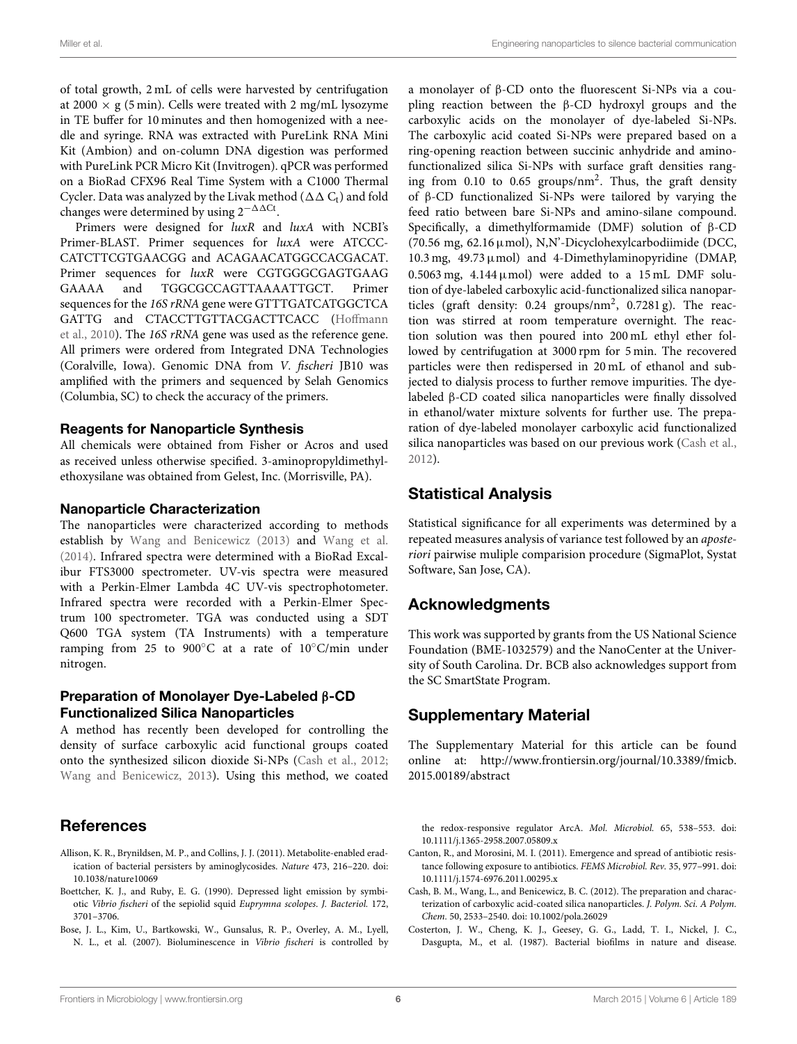of total growth, 2 mL of cells were harvested by centrifugation at 2000  $\times$  g (5 min). Cells were treated with 2 mg/mL lysozyme in TE buffer for 10 minutes and then homogenized with a needle and syringe. RNA was extracted with PureLink RNA Mini Kit (Ambion) and on-column DNA digestion was performed with PureLink PCR Micro Kit (Invitrogen). qPCR was performed on a BioRad CFX96 Real Time System with a C1000 Thermal Cycler. Data was analyzed by the Livak method ( $\Delta\Delta C_t$ ) and fold changes were determined by using  $2^{-\Delta\Delta Ct}$ .

Primers were designed for luxR and luxA with NCBI's Primer-BLAST. Primer sequences for luxA were ATCCC-CATCTTCGTGAACGG and ACAGAACATGGCCACGACAT. Primer sequences for luxR were CGTGGGCGAGTGAAG GAAAA and TGGCGCCAGTTAAAATTGCT. Primer sequences for the 16S rRNA gene were GTTTGATCATGGCTCA GATTG and CTACCTTGTTACGACTTCACC (Hoffmann et al., [2010\)](#page-6-35). The 16S rRNA gene was used as the reference gene. All primers were ordered from Integrated DNA Technologies (Coralville, Iowa). Genomic DNA from V. fischeri JB10 was amplified with the primers and sequenced by Selah Genomics (Columbia, SC) to check the accuracy of the primers.

#### Reagents for Nanoparticle Synthesis

All chemicals were obtained from Fisher or Acros and used as received unless otherwise specified. 3-aminopropyldimethylethoxysilane was obtained from Gelest, Inc. (Morrisville, PA).

#### Nanoparticle Characterization

The nanoparticles were characterized according to methods establish by [Wang and Benicewicz \(2013\)](#page-6-10) and [Wang et al.](#page-6-36) [\(2014\)](#page-6-36). Infrared spectra were determined with a BioRad Excalibur FTS3000 spectrometer. UV-vis spectra were measured with a Perkin-Elmer Lambda 4C UV-vis spectrophotometer. Infrared spectra were recorded with a Perkin-Elmer Spectrum 100 spectrometer. TGA was conducted using a SDT Q600 TGA system (TA Instruments) with a temperature ramping from 25 to 900◦C at a rate of 10◦C/min under nitrogen.

#### Preparation of Monolayer Dye-Labeled β-CD Functionalized Silica Nanoparticles

A method has recently been developed for controlling the density of surface carboxylic acid functional groups coated onto the synthesized silicon dioxide Si-NPs [\(Cash et al., 2012;](#page-5-5) [Wang and Benicewicz, 2013\)](#page-6-10). Using this method, we coated

# References

- <span id="page-5-2"></span>Allison, K. R., Brynildsen, M. P., and Collins, J. J. (2011). Metabolite-enabled eradication of bacterial persisters by aminoglycosides. Nature 473, 216–220. doi: 10.1038/nature10069
- <span id="page-5-3"></span>Boettcher, K. J., and Ruby, E. G. (1990). Depressed light emission by symbiotic Vibrio fischeri of the sepiolid squid Euprymna scolopes. J. Bacteriol. 172, 3701–3706.
- <span id="page-5-4"></span>Bose, J. L., Kim, U., Bartkowski, W., Gunsalus, R. P., Overley, A. M., Lyell, N. L., et al. (2007). Bioluminescence in Vibrio fischeri is controlled by

a monolayer of β-CD onto the fluorescent Si-NPs via a coupling reaction between the β-CD hydroxyl groups and the carboxylic acids on the monolayer of dye-labeled Si-NPs. The carboxylic acid coated Si-NPs were prepared based on a ring-opening reaction between succinic anhydride and aminofunctionalized silica Si-NPs with surface graft densities ranging from 0.10 to 0.65 groups/nm<sup>2</sup>. Thus, the graft density of β-CD functionalized Si-NPs were tailored by varying the feed ratio between bare Si-NPs and amino-silane compound. Specifically, a dimethylformamide (DMF) solution of β-CD (70.56 mg,  $62.16 \mu$ mol), N,N'-Dicyclohexylcarbodiimide (DCC, 10.3 mg,  $49.73 \mu$ mol) and  $4$ -Dimethylaminopyridine (DMAP,  $0.5063$  mg,  $4.144 \mu$ mol) were added to a 15 mL DMF solution of dye-labeled carboxylic acid-functionalized silica nanoparticles (graft density:  $0.24$  groups/nm<sup>2</sup>,  $0.7281$  g). The reaction was stirred at room temperature overnight. The reaction solution was then poured into 200 mL ethyl ether followed by centrifugation at 3000 rpm for 5 min. The recovered particles were then redispersed in 20 mL of ethanol and subjected to dialysis process to further remove impurities. The dyelabeled β-CD coated silica nanoparticles were finally dissolved in ethanol/water mixture solvents for further use. The preparation of dye-labeled monolayer carboxylic acid functionalized silica nanoparticles was based on our previous work [\(Cash et al.,](#page-5-5) [2012\)](#page-5-5).

## Statistical Analysis

Statistical significance for all experiments was determined by a repeated measures analysis of variance test followed by an aposteriori pairwise muliple comparision procedure (SigmaPlot, Systat Software, San Jose, CA).

## Acknowledgments

This work was supported by grants from the US National Science Foundation (BME-1032579) and the NanoCenter at the University of South Carolina. Dr. BCB also acknowledges support from the SC SmartState Program.

# Supplementary Material

The Supplementary Material for this article can be found [online at: http://www.frontiersin.org/journal/10.3389/fmicb.](http://www.frontiersin.org/journal/10.3389/fmicb.2015.00189/abstract) 2015.00189/abstract

the redox-responsive regulator ArcA. Mol. Microbiol. 65, 538–553. doi: 10.1111/j.1365-2958.2007.05809.x

- <span id="page-5-1"></span>Canton, R., and Morosini, M. I. (2011). Emergence and spread of antibiotic resistance following exposure to antibiotics. FEMS Microbiol. Rev. 35, 977–991. doi: 10.1111/j.1574-6976.2011.00295.x
- <span id="page-5-5"></span>Cash, B. M., Wang, L., and Benicewicz, B. C. (2012). The preparation and characterization of carboxylic acid-coated silica nanoparticles. J. Polym. Sci. A Polym. Chem. 50, 2533–2540. doi: 10.1002/pola.26029
- <span id="page-5-0"></span>Costerton, J. W., Cheng, K. J., Geesey, G. G., Ladd, T. I., Nickel, J. C., Dasgupta, M., et al. (1987). Bacterial biofilms in nature and disease.